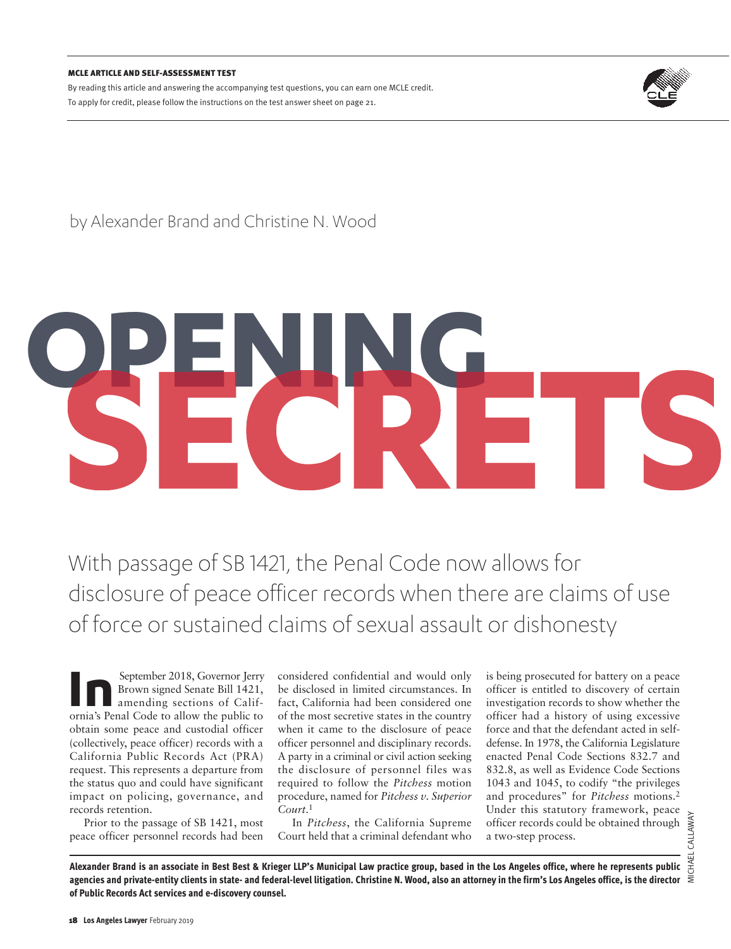### **MCLE ARTICLE AND SELF-ASSESSMENT TEST**

By reading this article and answering the accompanying test questions, you can earn one MCLE credit. To apply for credit, please follow the instructions on the test answer sheet on page 21.



by Alexander Brand and Christine N. Wood

# **OPENING**

With passage of SB 1421, the Penal Code now allows for disclosure of peace officer records when there are claims of use of force or sustained claims of sexual assault or dishonesty

**In September 2018, Governor Jerry<br>Brown signed Senate Bill 1421,<br>amending sections of Calif-**Brown signed Senate Bill 1421, amending sections of California's Penal Code to allow the public to obtain some peace and custodial officer (collectively, peace officer) records with a California Public Records Act (PRA) request. This represents a departure from the status quo and could have significant impact on policing, governance, and records retention.

Prior to the passage of SB 1421, most peace officer personnel records had been

**18 Los Angeles Lawyer** February 2019

considered confidential and would only be disclosed in limited circumstances. In fact, California had been considered one of the most secretive states in the country when it came to the disclosure of peace officer personnel and disciplinary records. A party in a criminal or civil action seeking the disclosure of personnel files was required to follow the *Pitchess* motion procedure, named for *Pitchess v. Superior Court*.1

In *Pitchess*, the California Supreme Court held that a criminal defendant who

is being prosecuted for battery on a peace officer is entitled to discovery of certain investigation records to show whether the officer had a history of using excessive force and that the defendant acted in selfdefense. In 1978, the California Legislature enacted Penal Code Sections 832.7 and 832.8, as well as Evidence Code Sections 1043 and 1045, to codify "the privileges and procedures" for *Pitchess* motions.2 Under this statutory framework, peace officer records could be obtained through a two-step process.

MICHAEL CALLAWAY

CALLAWAY

CHAEL **Alexander Brand is an associate in Best Best & Krieger LLP's Municipal Law practice group, based in the Los Angeles office, where he represents public agencies and private-entity clients in state- and federal-level litigation. Christine N. Wood, also an attorney in the firm's Los Angeles office, is the director of Public Records Act services and e-discovery counsel.**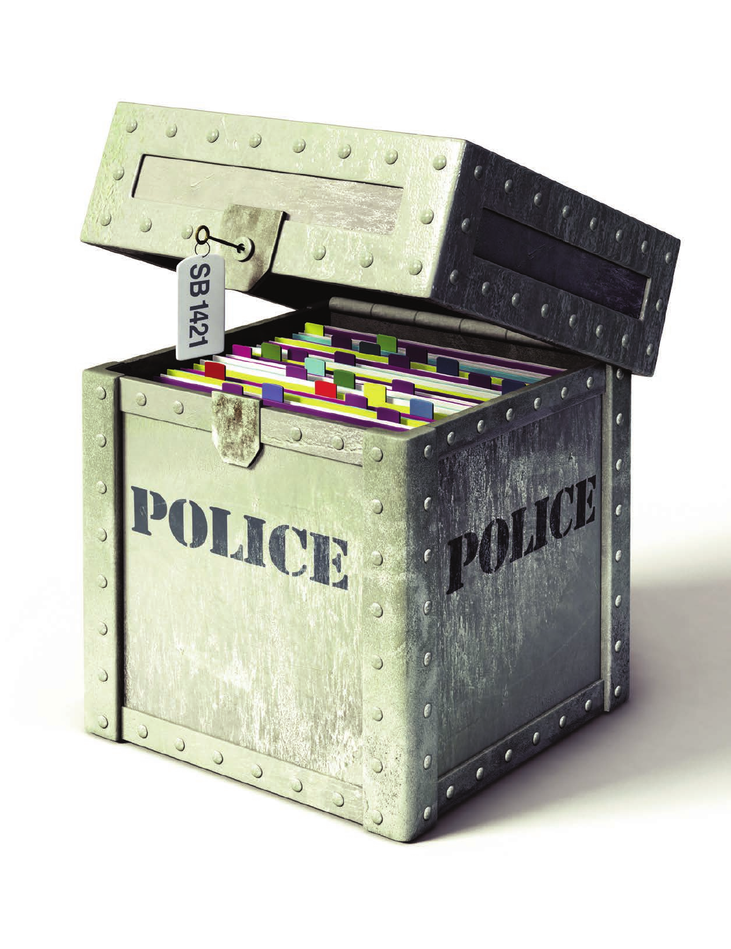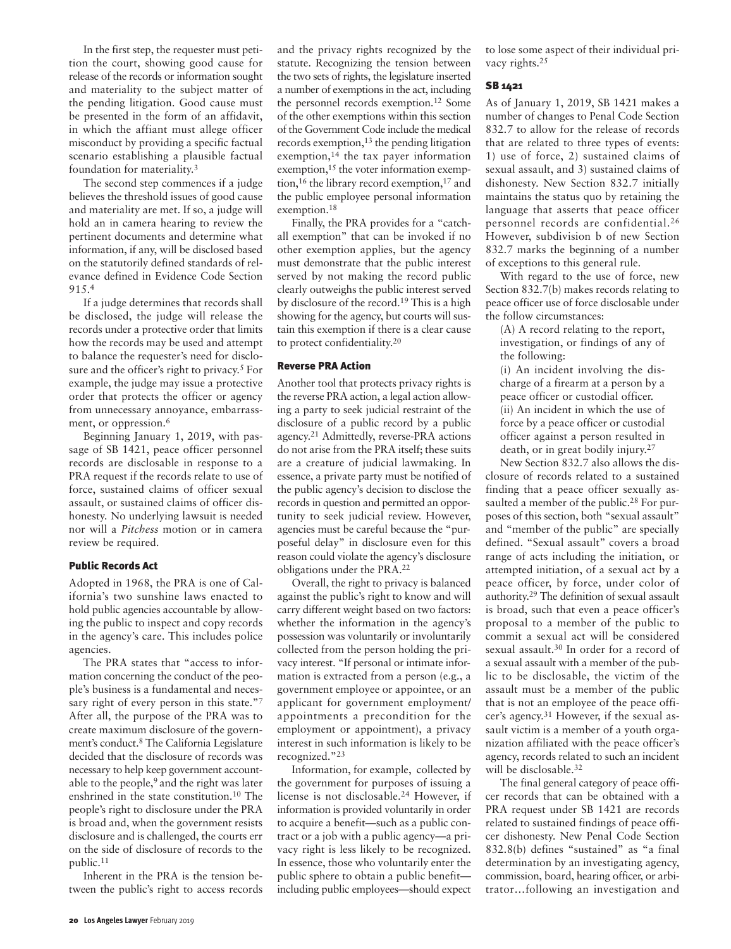In the first step, the requester must petition the court, showing good cause for release of the records or information sought and materiality to the subject matter of the pending litigation. Good cause must be presented in the form of an affidavit, in which the affiant must allege officer misconduct by providing a specific factual scenario establishing a plausible factual foundation for materiality.3

The second step commences if a judge believes the threshold issues of good cause and materiality are met. If so, a judge will hold an in camera hearing to review the pertinent documents and determine what information, if any, will be disclosed based on the statutorily defined standards of relevance defined in Evidence Code Section 915.4

If a judge determines that records shall be disclosed, the judge will release the records under a protective order that limits how the records may be used and attempt to balance the requester's need for disclosure and the officer's right to privacy.<sup>5</sup> For example, the judge may issue a protective order that protects the officer or agency from unnecessary annoyance, embarrassment, or oppression.<sup>6</sup>

Beginning January 1, 2019, with passage of SB 1421, peace officer personnel records are disclosable in response to a PRA request if the records relate to use of force, sustained claims of officer sexual assault, or sustained claims of officer dishonesty. No underlying lawsuit is needed nor will a *Pitchess* motion or in camera review be required.

### **Public Records Act**

Adopted in 1968, the PRA is one of California's two sunshine laws enacted to hold public agencies accountable by allowing the public to inspect and copy records in the agency's care. This includes police agencies.

The PRA states that "access to information concerning the conduct of the people's business is a fundamental and necessary right of every person in this state."7 After all, the purpose of the PRA was to create maximum disclosure of the government's conduct.8 The California Legislature decided that the disclosure of records was necessary to help keep government accountable to the people,<sup>9</sup> and the right was later enshrined in the state constitution.10 The people's right to disclosure under the PRA is broad and, when the government resists disclosure and is challenged, the courts err on the side of disclosure of records to the public.11

Inherent in the PRA is the tension between the public's right to access records and the privacy rights recognized by the statute. Recognizing the tension between the two sets of rights, the legislature inserted a number of exemptions in the act, including the personnel records exemption.12 Some of the other exemptions within this section of the Government Code include the medical records exemption,13 the pending litigation exemption, $14$  the tax payer information exemption,<sup>15</sup> the voter information exemption,<sup>16</sup> the library record exemption,<sup>17</sup> and the public employee personal information exemption.18

Finally, the PRA provides for a "catchall exemption" that can be invoked if no other exemption applies, but the agency must demonstrate that the public interest served by not making the record public clearly outweighs the public interest served by disclosure of the record.19 This is a high showing for the agency, but courts will sustain this exemption if there is a clear cause to protect confidentiality.20

### **Reverse PRA Action**

Another tool that protects privacy rights is the reverse PRA action, a legal action allowing a party to seek judicial restraint of the disclosure of a public record by a public agency.21 Admittedly, reverse-PRA actions do not arise from the PRA itself; these suits are a creature of judicial lawmaking. In essence, a private party must be notified of the public agency's decision to disclose the records in question and permitted an opportunity to seek judicial review. However, agencies must be careful because the "purposeful delay" in disclosure even for this reason could violate the agency's disclosure obligations under the PRA.22

Overall, the right to privacy is balanced against the public's right to know and will carry different weight based on two factors: whether the information in the agency's possession was voluntarily or involuntarily collected from the person holding the privacy interest. "If personal or intimate information is extracted from a person (e.g., a government employee or appointee, or an applicant for government employment/ appointments a precondition for the employment or appointment), a privacy interest in such information is likely to be recognized."23

Information, for example, collected by the government for purposes of issuing a license is not disclosable.24 However, if information is provided voluntarily in order to acquire a benefit—such as a public contract or a job with a public agency—a privacy right is less likely to be recognized. In essence, those who voluntarily enter the public sphere to obtain a public benefit including public employees—should expect to lose some aspect of their individual privacy rights.25

### **SB 1421**

As of January 1, 2019, SB 1421 makes a number of changes to Penal Code Section 832.7 to allow for the release of records that are related to three types of events: 1) use of force, 2) sustained claims of sexual assault, and 3) sustained claims of dishonesty. New Section 832.7 initially maintains the status quo by retaining the language that asserts that peace officer personnel records are confidential.26 However, subdivision b of new Section 832.7 marks the beginning of a number of exceptions to this general rule.

With regard to the use of force, new Section 832.7(b) makes records relating to peace officer use of force disclosable under the follow circumstances:

(A) A record relating to the report, investigation, or findings of any of the following:

(i) An incident involving the discharge of a firearm at a person by a peace officer or custodial officer. (ii) An incident in which the use of force by a peace officer or custodial officer against a person resulted in death, or in great bodily injury.27

New Section 832.7 also allows the disclosure of records related to a sustained finding that a peace officer sexually assaulted a member of the public.<sup>28</sup> For purposes of this section, both "sexual assault" and "member of the public" are specially defined. "Sexual assault" covers a broad range of acts including the initiation, or attempted initiation, of a sexual act by a peace officer, by force, under color of authority.29 The definition of sexual assault is broad, such that even a peace officer's proposal to a member of the public to commit a sexual act will be considered sexual assault.30 In order for a record of a sexual assault with a member of the public to be disclosable, the victim of the assault must be a member of the public that is not an employee of the peace officer's agency.<sup>31</sup> However, if the sexual assault victim is a member of a youth organization affiliated with the peace officer's agency, records related to such an incident will be disclosable.<sup>32</sup>

The final general category of peace officer records that can be obtained with a PRA request under SB 1421 are records related to sustained findings of peace officer dishonesty. New Penal Code Section 832.8(b) defines "sustained" as "a final determination by an investigating agency, commission, board, hearing officer, or arbitrator…following an investigation and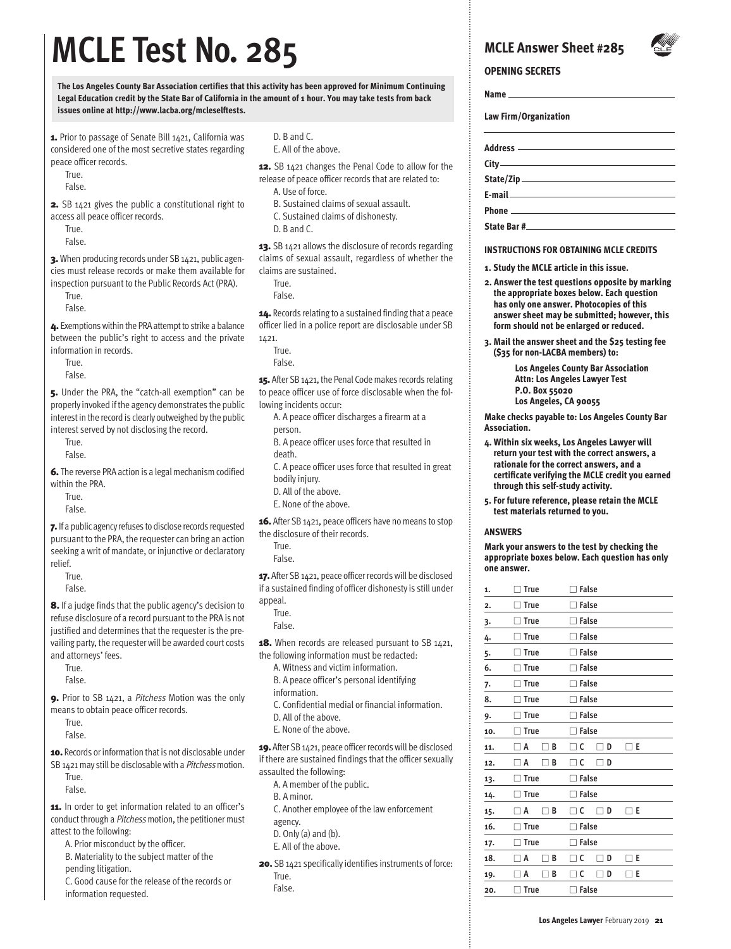# **MCLE Test No. 285**

**The Los Angeles County Bar Association certifies that this activity has been approved for Minimum Continuing Legal Education credit by the State Bar of California in the amount of 1 hour. You may take tests from back issues online at http://www.lacba.org/mcleselftests.**

**1.** Prior to passage of Senate Bill 1421, California was considered one of the most secretive states regarding peace officer records.

True.

False.

**2.** SB 1421 gives the public a constitutional right to access all peace officer records.

True.

False.

**3.** When producing records under SB 1421, public agencies must release records or make them available for inspection pursuant to the Public Records Act (PRA).

True. False.

**4.** Exemptions within the PRA attempt to strike a balance between the public's right to access and the private information in records.

True.

False.

**5.** Under the PRA, the "catch-all exemption" can be properly invoked if the agency demonstrates the public interest in the record is clearly outweighed by the public interest served by not disclosing the record.

True. False.

**6.** The reverse PRA action is a legal mechanism codified within the PRA.

True.

False.

**7.** If a public agency refuses to disclose records requested pursuant to the PRA, the requester can bring an action seeking a writ of mandate, or injunctive or declaratory relief.

True.

False.

**8.** If a judge finds that the public agency's decision to refuse disclosure of a record pursuant to the PRA is not justified and determines that the requester is the prevailing party, the requester will be awarded court costs and attorneys' fees.

True.

False.

**9.** Prior to SB 1421, a Pitchess Motion was the only means to obtain peace officer records.

True.

False.

**10.** Records or information that is not disclosable under SB 1421 may still be disclosable with a Pitchess motion.

True.

False.

**11.** In order to get information related to an officer's conduct through a Pitchess motion, the petitioner must attest to the following:

A. Prior misconduct by the officer.

B. Materiality to the subject matter of the pending litigation.

C. Good cause for the release of the records or information requested.

D. B and C.

E. All of the above.

**12.** SB 1421 changes the Penal Code to allow for the release of peace officer records that are related to: A. Use of force.

B. Sustained claims of sexual assault.

- C. Sustained claims of dishonesty.
- D. B and C.

**13.** SB 1421 allows the disclosure of records regarding claims of sexual assault, regardless of whether the claims are sustained.

True.

False.

**14.** Records relating to a sustained finding that a peace officer lied in a police report are disclosable under SB 1421.

- True.
- False.

**15.** After SB 1421, the Penal Code makes records relating to peace officer use of force disclosable when the following incidents occur:

A. A peace officer discharges a firearm at a person.

B. A peace officer uses force that resulted in

death.

C. A peace officer uses force that resulted in great bodily injury.

D. All of the above.

E. None of the above.

**16.** After SB 1421, peace officers have no means to stop the disclosure of their records.

- True.
- False.

**17.** After SB 1421, peace officer records will be disclosed if a sustained finding of officer dishonesty is still under appeal.

True.

False.

**18.** When records are released pursuant to SB 1421, the following information must be redacted:

- A. Witness and victim information.
- B. A peace officer's personal identifying
- information.
- C. Confidential medial or financial information.
- D. All of the above.
- E. None of the above.

**19.** After SB 1421, peace officer records will be disclosed if there are sustained findings that the officer sexually assaulted the following:

- A. A member of the public.
- B. A minor.
- C. Another employee of the law enforcement
- agency.
- D. Only (a) and (b).
- E. All of the above.
- **20.** SB 1421 specifically identifies instruments of force: True. False.

## **MCLE Answer Sheet #285**



### **OPENING SECRETS**

| Law Firm/Organization |                             |  |
|-----------------------|-----------------------------|--|
|                       | Address ——————————————————— |  |
|                       |                             |  |
|                       |                             |  |
|                       |                             |  |
|                       |                             |  |
|                       |                             |  |

**INSTRUCTIONS FOR OBTAINING MCLE CREDITS**

- **1. Study the MCLE article in this issue.**
- **2. Answer the test questions opposite by marking the appropriate boxes below. Each question has only one answer. Photocopies of this answer sheet may be submitted; however, this form should not be enlarged or reduced.**
- **3. Mail the answer sheet and the \$25 testing fee (\$35 for non-LACBA members) to:**

 **Los Angeles County Bar Association Attn: Los Angeles Lawyer Test P.O. Box 55020 Los Angeles, CA 90055**

**Make checks payable to: Los Angeles County Bar Association.**

- **4. Within six weeks, Los Angeles Lawyer will return your test with the correct answers, a rationale for the correct answers, and a certificate verifying the MCLE credit you earned through this self-study activity.**
- **5. For future reference, please retain the MCLE test materials returned to you.**

### **ANSWERS**

**Mark your answers to the test by checking the appropriate boxes below. Each question has only one answer.**

| 1.  | <b>True</b>        | <b>False</b>                       |
|-----|--------------------|------------------------------------|
| 2.  | <b>True</b>        | <b>False</b><br>П                  |
| 3.  | <b>True</b>        | <b>False</b>                       |
| 4.  | <b>True</b><br>H   | <b>False</b><br>П                  |
| 5.  | <b>True</b>        | <b>False</b><br>П                  |
| 6.  | <b>True</b>        | <b>False</b><br>П                  |
| 7.  | <b>True</b>        | <b>False</b><br>П                  |
| 8.  | <b>True</b><br>H   | <b>False</b>                       |
| 9.  | <b>True</b>        | <b>False</b>                       |
| 10. | <b>True</b>        | <b>False</b>                       |
| 11. | A<br>B<br>П        | C<br>D<br>$\Box$ E<br>- 1          |
| 12. | A<br>B             | D<br>c                             |
| 13. | <b>True</b>        | <b>False</b><br>П                  |
| 14. | <b>True</b><br>п   | <b>False</b><br>П                  |
| 15. | A<br>$\Box$ B<br>H | C<br>D<br>ΠE<br>П<br>┑             |
| 16. | <b>True</b>        | <b>False</b>                       |
| 17. | <b>True</b>        | <b>False</b><br>П                  |
| 18. | A<br>B<br>п<br>П   | C<br>D<br>Е<br>ר ו<br>I<br>┑<br>-1 |
| 19. | A<br>В             | D<br>C<br>Е                        |
| 20. | <b>True</b>        | <b>False</b><br>П                  |
|     |                    |                                    |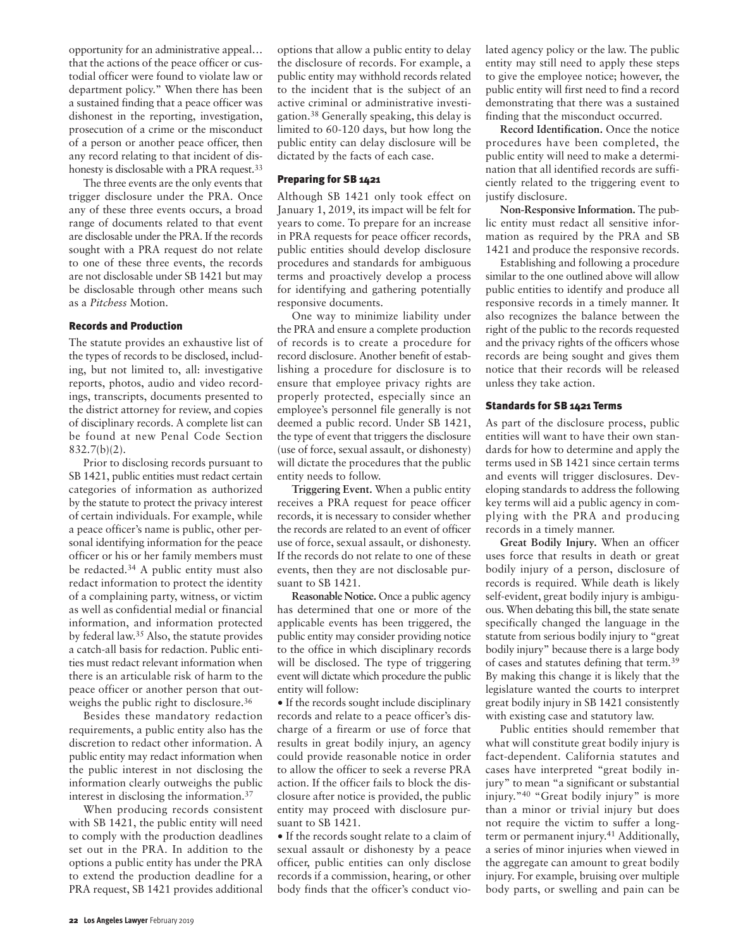opportunity for an administrative appeal… that the actions of the peace officer or custodial officer were found to violate law or department policy." When there has been a sustained finding that a peace officer was dishonest in the reporting, investigation, prosecution of a crime or the misconduct of a person or another peace officer, then any record relating to that incident of dishonesty is disclosable with a PRA request.33

The three events are the only events that trigger disclosure under the PRA. Once any of these three events occurs, a broad range of documents related to that event are disclosable under the PRA. If the records sought with a PRA request do not relate to one of these three events, the records are not disclosable under SB 1421 but may be disclosable through other means such as a *Pitchess* Motion.

### **Records and Production**

The statute provides an exhaustive list of the types of records to be disclosed, including, but not limited to, all: investigative reports, photos, audio and video recordings, transcripts, documents presented to the district attorney for review, and copies of disciplinary records. A complete list can be found at new Penal Code Section 832.7(b)(2).

Prior to disclosing records pursuant to SB 1421, public entities must redact certain categories of information as authorized by the statute to protect the privacy interest of certain individuals. For example, while a peace officer's name is public, other personal identifying information for the peace officer or his or her family members must be redacted.34 A public entity must also redact information to protect the identity of a complaining party, witness, or victim as well as confidential medial or financial information, and information protected by federal law.35 Also, the statute provides a catch-all basis for redaction. Public entities must redact relevant information when there is an articulable risk of harm to the peace officer or another person that outweighs the public right to disclosure.36

Besides these mandatory redaction requirements, a public entity also has the discretion to redact other information. A public entity may redact information when the public interest in not disclosing the information clearly outweighs the public interest in disclosing the information.37

When producing records consistent with SB 1421, the public entity will need to comply with the production deadlines set out in the PRA. In addition to the options a public entity has under the PRA to extend the production deadline for a PRA request, SB 1421 provides additional options that allow a public entity to delay the disclosure of records. For example, a public entity may withhold records related to the incident that is the subject of an active criminal or administrative investigation.38 Generally speaking, this delay is limited to 60-120 days, but how long the public entity can delay disclosure will be dictated by the facts of each case.

### **Preparing for SB 1421**

Although SB 1421 only took effect on January 1, 2019, its impact will be felt for years to come. To prepare for an increase in PRA requests for peace officer records, public entities should develop disclosure procedures and standards for ambiguous terms and proactively develop a process for identifying and gathering potentially responsive documents.

One way to minimize liability under the PRA and ensure a complete production of records is to create a procedure for record disclosure. Another benefit of establishing a procedure for disclosure is to ensure that employee privacy rights are properly protected, especially since an employee's personnel file generally is not deemed a public record. Under SB 1421, the type of event that triggers the disclosure (use of force, sexual assault, or dishonesty) will dictate the procedures that the public entity needs to follow.

**Triggering Event.** When a public entity receives a PRA request for peace officer records, it is necessary to consider whether the records are related to an event of officer use of force, sexual assault, or dishonesty. If the records do not relate to one of these events, then they are not disclosable pursuant to SB 1421.

**Reasonable Notice.** Once a public agency has determined that one or more of the applicable events has been triggered, the public entity may consider providing notice to the office in which disciplinary records will be disclosed. The type of triggering event will dictate which procedure the public entity will follow:

• If the records sought include disciplinary records and relate to a peace officer's discharge of a firearm or use of force that results in great bodily injury, an agency could provide reasonable notice in order to allow the officer to seek a reverse PRA action. If the officer fails to block the disclosure after notice is provided, the public entity may proceed with disclosure pursuant to SB 1421.

• If the records sought relate to a claim of sexual assault or dishonesty by a peace officer, public entities can only disclose records if a commission, hearing, or other body finds that the officer's conduct violated agency policy or the law. The public entity may still need to apply these steps to give the employee notice; however, the public entity will first need to find a record demonstrating that there was a sustained finding that the misconduct occurred.

**Record Identification.** Once the notice procedures have been completed, the public entity will need to make a determination that all identified records are sufficiently related to the triggering event to justify disclosure.

**Non-Responsive Information.** The public entity must redact all sensitive information as required by the PRA and SB 1421 and produce the responsive records.

Establishing and following a procedure similar to the one outlined above will allow public entities to identify and produce all responsive records in a timely manner. It also recognizes the balance between the right of the public to the records requested and the privacy rights of the officers whose records are being sought and gives them notice that their records will be released unless they take action.

### **Standards for SB 1421 Terms**

As part of the disclosure process, public entities will want to have their own standards for how to determine and apply the terms used in SB 1421 since certain terms and events will trigger disclosures. Developing standards to address the following key terms will aid a public agency in complying with the PRA and producing records in a timely manner.

**Great Bodily Injury.** When an officer uses force that results in death or great bodily injury of a person, disclosure of records is required. While death is likely self-evident, great bodily injury is ambiguous. When debating this bill, the state senate specifically changed the language in the statute from serious bodily injury to "great bodily injury" because there is a large body of cases and statutes defining that term.39 By making this change it is likely that the legislature wanted the courts to interpret great bodily injury in SB 1421 consistently with existing case and statutory law.

Public entities should remember that what will constitute great bodily injury is fact-dependent. California statutes and cases have interpreted "great bodily injury" to mean "a significant or substantial injury."40 "Great bodily injury" is more than a minor or trivial injury but does not require the victim to suffer a longterm or permanent injury.<sup>41</sup> Additionally, a series of minor injuries when viewed in the aggregate can amount to great bodily injury. For example, bruising over multiple body parts, or swelling and pain can be